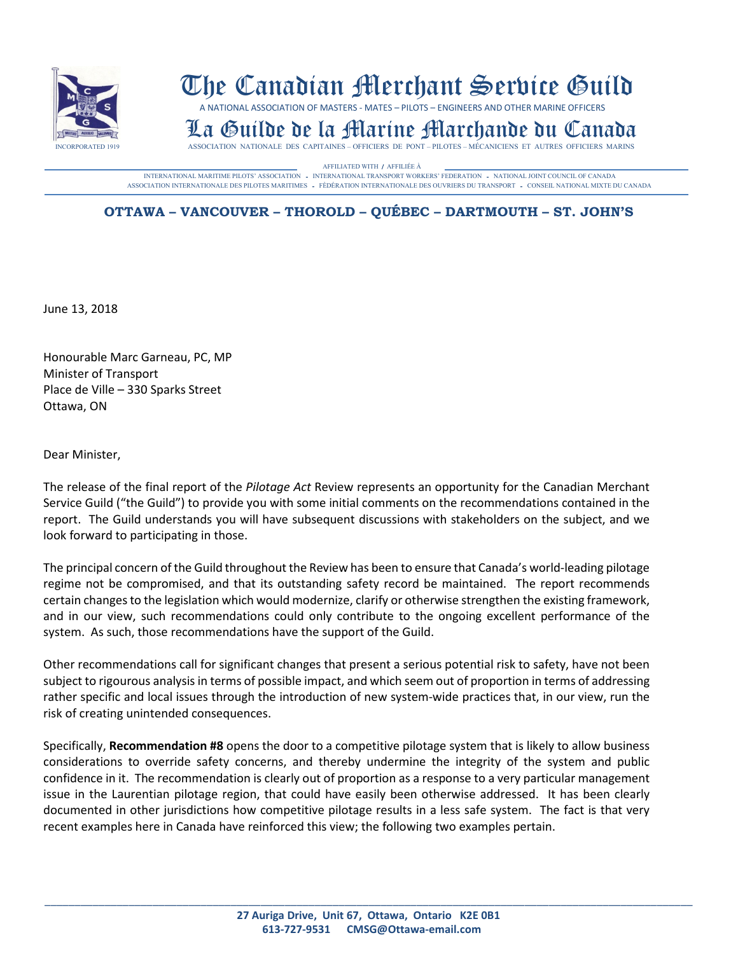

## The Canadian Merchant Service Guild

A NATIONAL ASSOCIATION OF MASTERS - MATES – PILOTS – ENGINEERS AND OTHER MARINE OFFICERS

## **LA GUILDE DE LA MARINE MARIA INCORPORATED DU CANADA** ASSOCIATION NATIONALE DES CAPITAINES – OFFICIERS DE PONT – PILOTES – MÉCANICIENS ET AUTRES OFFICIERS MARINS

AFFILIATED WITH / AFFILIÉE À **CONSTANT (EN EL PROPERTION AUGUST)**<br>INTERNATIONAL MARITIME PILOTS' ASSOCIATION - INTERNATIONAL TRANSPORT WORKERS' FEDERATION - NATIONAL JOINT COUNCIL OF CANADA ASSOCIATION INTERNATIONALE DES PILOTES MARITIMES - FÈDÉRATION INTERNATIONALE DES OUVRIERS DU TRANSPORT - CONSEIL NATIONAL MIXTE DU CANADA

## **OTTAWA – VANCOUVER – THOROLD – QUÉBEC – DARTMOUTH – ST. JOHN'S**

June 13, 2018

Honourable Marc Garneau, PC, MP Minister of Transport Place de Ville – 330 Sparks Street Ottawa, ON

Dear Minister,

The release of the final report of the *Pilotage Act* Review represents an opportunity for the Canadian Merchant Service Guild ("the Guild") to provide you with some initial comments on the recommendations contained in the report. The Guild understands you will have subsequent discussions with stakeholders on the subject, and we look forward to participating in those.

The principal concern of the Guild throughout the Review has been to ensure that Canada's world-leading pilotage regime not be compromised, and that its outstanding safety record be maintained. The report recommends certain changes to the legislation which would modernize, clarify or otherwise strengthen the existing framework, and in our view, such recommendations could only contribute to the ongoing excellent performance of the system. As such, those recommendations have the support of the Guild.

Other recommendations call for significant changes that present a serious potential risk to safety, have not been subject to rigourous analysis in terms of possible impact, and which seem out of proportion in terms of addressing rather specific and local issues through the introduction of new system-wide practices that, in our view, run the risk of creating unintended consequences.

Specifically, **Recommendation #8** opens the door to a competitive pilotage system that is likely to allow business considerations to override safety concerns, and thereby undermine the integrity of the system and public confidence in it. The recommendation is clearly out of proportion as a response to a very particular management issue in the Laurentian pilotage region, that could have easily been otherwise addressed. It has been clearly documented in other jurisdictions how competitive pilotage results in a less safe system. The fact is that very recent examples here in Canada have reinforced this view; the following two examples pertain.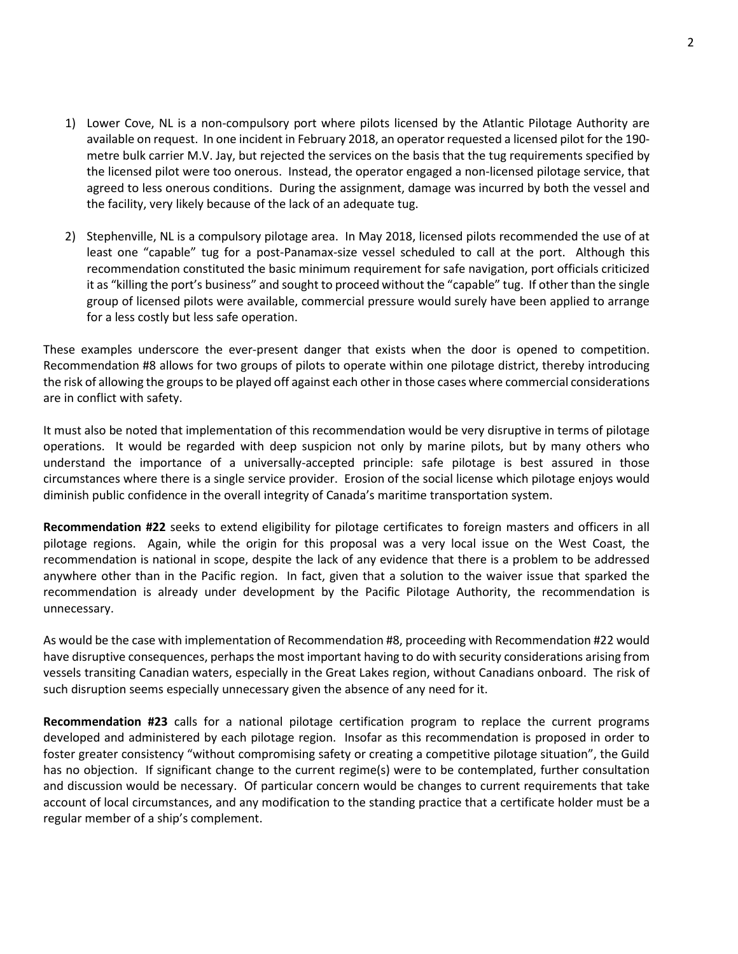- 1) Lower Cove, NL is a non-compulsory port where pilots licensed by the Atlantic Pilotage Authority are available on request. In one incident in February 2018, an operator requested a licensed pilot for the 190 metre bulk carrier M.V. Jay, but rejected the services on the basis that the tug requirements specified by the licensed pilot were too onerous. Instead, the operator engaged a non-licensed pilotage service, that agreed to less onerous conditions. During the assignment, damage was incurred by both the vessel and the facility, very likely because of the lack of an adequate tug.
- 2) Stephenville, NL is a compulsory pilotage area. In May 2018, licensed pilots recommended the use of at least one "capable" tug for a post-Panamax-size vessel scheduled to call at the port. Although this recommendation constituted the basic minimum requirement for safe navigation, port officials criticized it as "killing the port's business" and sought to proceed without the "capable" tug. If other than the single group of licensed pilots were available, commercial pressure would surely have been applied to arrange for a less costly but less safe operation.

These examples underscore the ever-present danger that exists when the door is opened to competition. Recommendation #8 allows for two groups of pilots to operate within one pilotage district, thereby introducing the risk of allowing the groups to be played off against each other in those cases where commercial considerations are in conflict with safety.

It must also be noted that implementation of this recommendation would be very disruptive in terms of pilotage operations. It would be regarded with deep suspicion not only by marine pilots, but by many others who understand the importance of a universally-accepted principle: safe pilotage is best assured in those circumstances where there is a single service provider. Erosion of the social license which pilotage enjoys would diminish public confidence in the overall integrity of Canada's maritime transportation system.

**Recommendation #22** seeks to extend eligibility for pilotage certificates to foreign masters and officers in all pilotage regions. Again, while the origin for this proposal was a very local issue on the West Coast, the recommendation is national in scope, despite the lack of any evidence that there is a problem to be addressed anywhere other than in the Pacific region. In fact, given that a solution to the waiver issue that sparked the recommendation is already under development by the Pacific Pilotage Authority, the recommendation is unnecessary.

As would be the case with implementation of Recommendation #8, proceeding with Recommendation #22 would have disruptive consequences, perhaps the most important having to do with security considerations arising from vessels transiting Canadian waters, especially in the Great Lakes region, without Canadians onboard. The risk of such disruption seems especially unnecessary given the absence of any need for it.

**Recommendation #23** calls for a national pilotage certification program to replace the current programs developed and administered by each pilotage region. Insofar as this recommendation is proposed in order to foster greater consistency "without compromising safety or creating a competitive pilotage situation", the Guild has no objection. If significant change to the current regime(s) were to be contemplated, further consultation and discussion would be necessary. Of particular concern would be changes to current requirements that take account of local circumstances, and any modification to the standing practice that a certificate holder must be a regular member of a ship's complement.